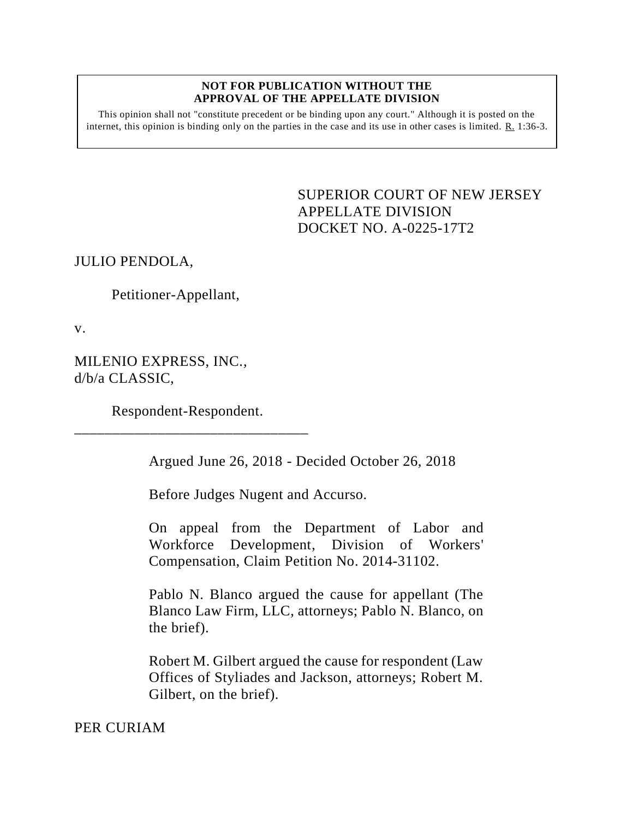## **NOT FOR PUBLICATION WITHOUT THE APPROVAL OF THE APPELLATE DIVISION**

This opinion shall not "constitute precedent or be binding upon any court." Although it is posted on the internet, this opinion is binding only on the parties in the case and its use in other cases is limited. R. 1:36-3.

> <span id="page-0-0"></span>SUPERIOR COURT OF NEW JERSEY APPELLATE DIVISION DOCKET NO. A-0225-17T2

JULIO PENDOLA,

Petitioner-Appellant,

v.

MILENIO EXPRESS, INC., d/b/a CLASSIC,

Respondent-Respondent. \_\_\_\_\_\_\_\_\_\_\_\_\_\_\_\_\_\_\_\_\_\_\_\_\_\_\_\_\_\_\_

Argued June 26, 2018 - Decided October 26, 2018

Before Judges Nugent and Accurso.

On appeal from the Department of Labor and Workforce Development, Division of Workers' Compensation, Claim Petition No. 2014-31102.

Pablo N. Blanco argued the cause for appellant (The Blanco Law Firm, LLC, attorneys; Pablo N. Blanco, on the brief).

Robert M. Gilbert argued the cause for respondent (Law Offices of Styliades and Jackson, attorneys; Robert M. Gilbert, on the brief).

PER CURIAM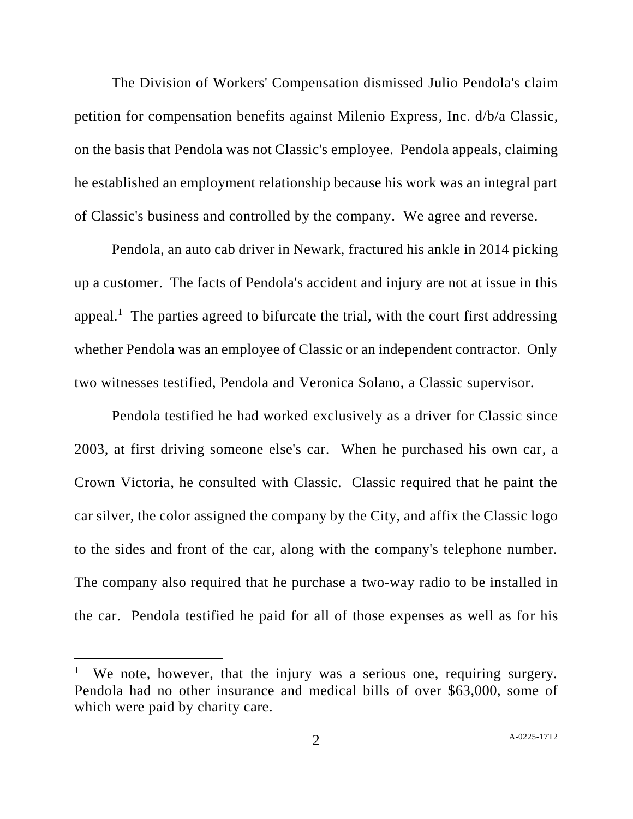The Division of Workers' Compensation dismissed Julio Pendola's claim petition for compensation benefits against Milenio Express, Inc. d/b/a Classic, on the basis that Pendola was not Classic's employee. Pendola appeals, claiming he established an employment relationship because his work was an integral part of Classic's business and controlled by the company. We agree and reverse.

Pendola, an auto cab driver in Newark, fractured his ankle in 2014 picking up a customer. The facts of Pendola's accident and injury are not at issue in this appeal.<sup>1</sup> The parties agreed to bifurcate the trial, with the court first addressing whether Pendola was an employee of Classic or an independent contractor. Only two witnesses testified, Pendola and Veronica Solano, a Classic supervisor.

Pendola testified he had worked exclusively as a driver for Classic since 2003, at first driving someone else's car. When he purchased his own car, a Crown Victoria, he consulted with Classic. Classic required that he paint the car silver, the color assigned the company by the City, and affix the Classic logo to the sides and front of the car, along with the company's telephone number. The company also required that he purchase a two-way radio to be installed in the car. Pendola testified he paid for all of those expenses as well as for his

l

We note, however, that the injury was a serious one, requiring surgery. Pendola had no other insurance and medical bills of over \$63,000, some of which were paid by charity care.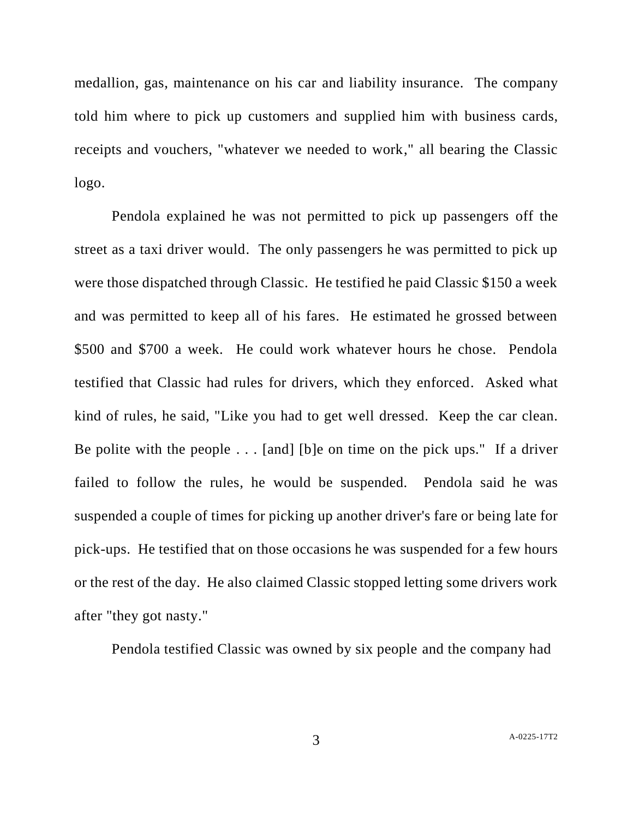medallion, gas, maintenance on his car and liability insurance. The company told him where to pick up customers and supplied him with business cards, receipts and vouchers, "whatever we needed to work," all bearing the Classic logo.

Pendola explained he was not permitted to pick up passengers off the street as a taxi driver would. The only passengers he was permitted to pick up were those dispatched through Classic. He testified he paid Classic \$150 a week and was permitted to keep all of his fares. He estimated he grossed between \$500 and \$700 a week. He could work whatever hours he chose. Pendola testified that Classic had rules for drivers, which they enforced. Asked what kind of rules, he said, "Like you had to get well dressed. Keep the car clean. Be polite with the people . . . [and] [b]e on time on the pick ups." If a driver failed to follow the rules, he would be suspended. Pendola said he was suspended a couple of times for picking up another driver's fare or being late for pick-ups. He testified that on those occasions he was suspended for a few hours or the rest of the day. He also claimed Classic stopped letting some drivers work after "they got nasty."

Pendola testified Classic was owned by six people and the company had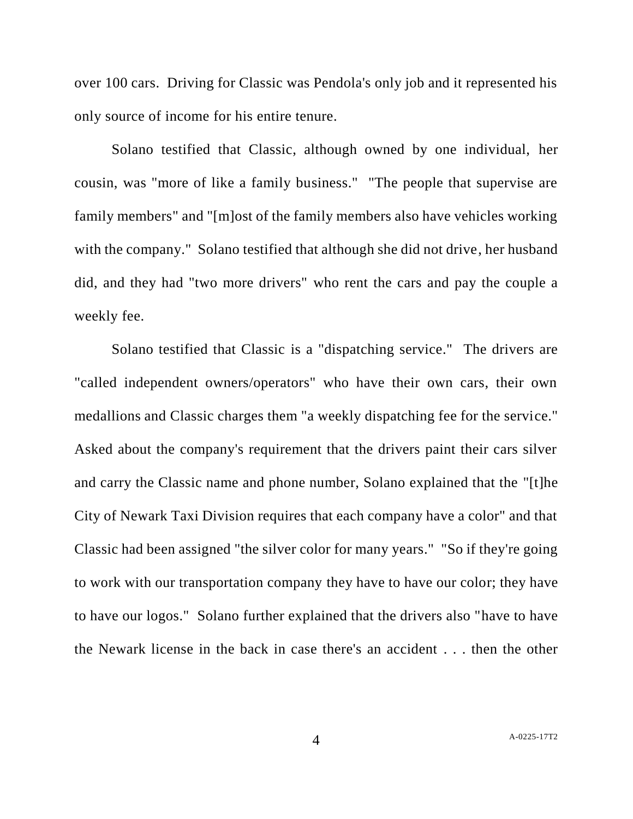over 100 cars. Driving for Classic was Pendola's only job and it represented his only source of income for his entire tenure.

Solano testified that Classic, although owned by one individual, her cousin, was "more of like a family business." "The people that supervise are family members" and "[m]ost of the family members also have vehicles working with the company." Solano testified that although she did not drive, her husband did, and they had "two more drivers" who rent the cars and pay the couple a weekly fee.

Solano testified that Classic is a "dispatching service." The drivers are "called independent owners/operators" who have their own cars, their own medallions and Classic charges them "a weekly dispatching fee for the service." Asked about the company's requirement that the drivers paint their cars silver and carry the Classic name and phone number, Solano explained that the "[t]he City of Newark Taxi Division requires that each company have a color" and that Classic had been assigned "the silver color for many years." "So if they're going to work with our transportation company they have to have our color; they have to have our logos." Solano further explained that the drivers also "have to have the Newark license in the back in case there's an accident . . . then the other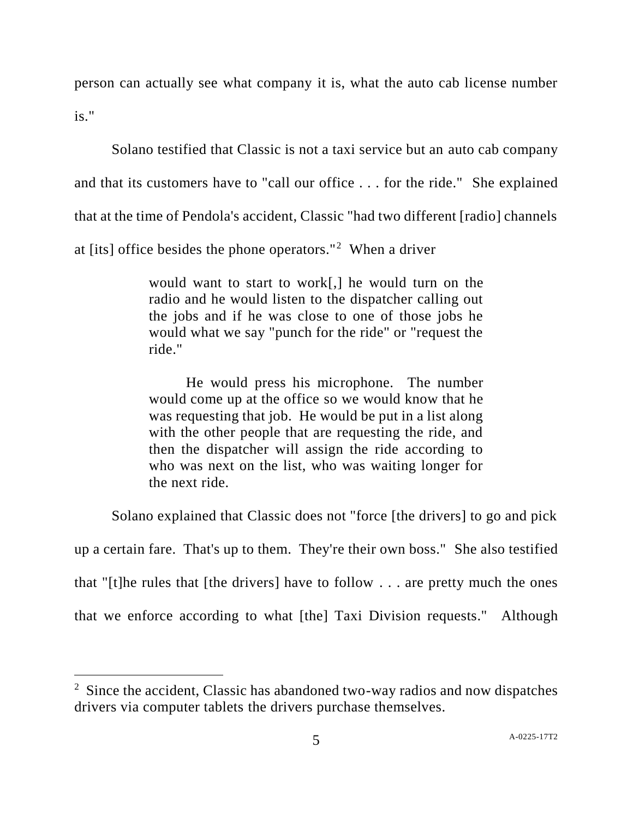person can actually see what company it is, what the auto cab license number is."

Solano testified that Classic is not a taxi service but an auto cab company and that its customers have to "call our office . . . for the ride." She explained that at the time of Pendola's accident, Classic "had two different [radio] channels at [its] office besides the phone operators."<sup>2</sup> When a driver

> would want to start to work[,] he would turn on the radio and he would listen to the dispatcher calling out the jobs and if he was close to one of those jobs he would what we say "punch for the ride" or "request the ride."

> He would press his microphone. The number would come up at the office so we would know that he was requesting that job. He would be put in a list along with the other people that are requesting the ride, and then the dispatcher will assign the ride according to who was next on the list, who was waiting longer for the next ride.

Solano explained that Classic does not "force [the drivers] to go and pick

up a certain fare. That's up to them. They're their own boss." She also testified that "[t]he rules that [the drivers] have to follow  $\dots$  are pretty much the ones that we enforce according to what [the] Taxi Division requests." Although

l

<sup>&</sup>lt;sup>2</sup> Since the accident, Classic has abandoned two-way radios and now dispatches drivers via computer tablets the drivers purchase themselves.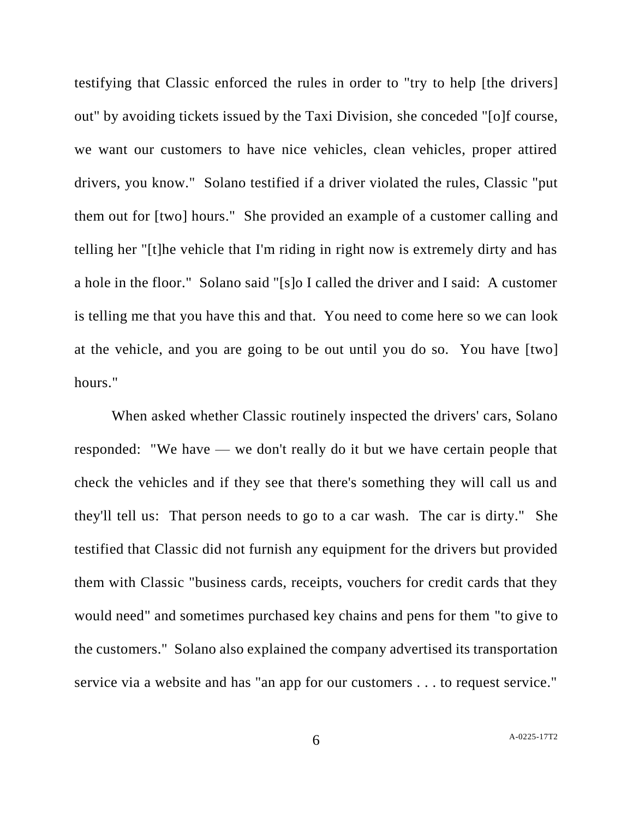testifying that Classic enforced the rules in order to "try to help [the drivers] out" by avoiding tickets issued by the Taxi Division, she conceded "[o]f course, we want our customers to have nice vehicles, clean vehicles, proper attired drivers, you know." Solano testified if a driver violated the rules, Classic "put them out for [two] hours." She provided an example of a customer calling and telling her "[t]he vehicle that I'm riding in right now is extremely dirty and has a hole in the floor." Solano said "[s]o I called the driver and I said: A customer is telling me that you have this and that. You need to come here so we can look at the vehicle, and you are going to be out until you do so. You have [two] hours."

When asked whether Classic routinely inspected the drivers' cars, Solano responded: "We have — we don't really do it but we have certain people that check the vehicles and if they see that there's something they will call us and they'll tell us: That person needs to go to a car wash. The car is dirty." She testified that Classic did not furnish any equipment for the drivers but provided them with Classic "business cards, receipts, vouchers for credit cards that they would need" and sometimes purchased key chains and pens for them "to give to the customers." Solano also explained the company advertised its transportation service via a website and has "an app for our customers . . . to request service."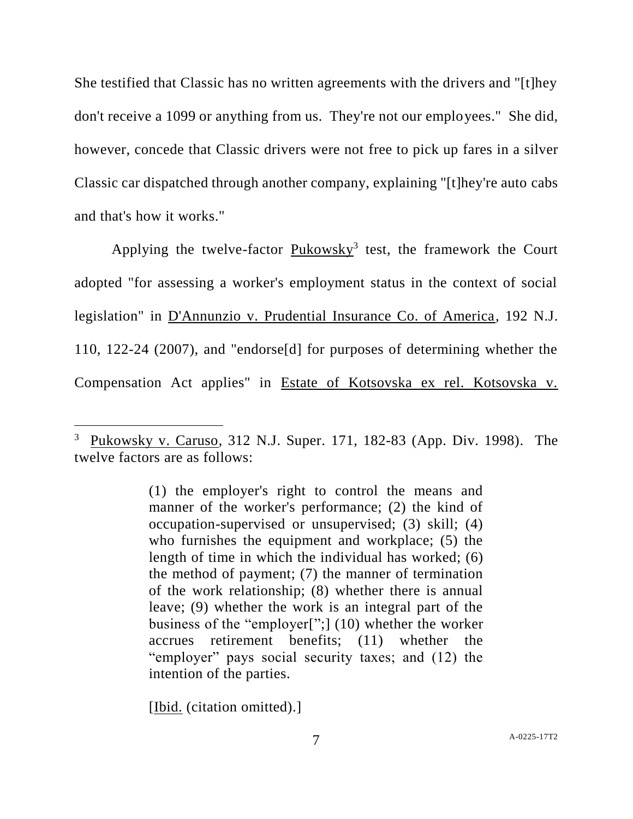She testified that Classic has no written agreements with the drivers and "[t]hey don't receive a 1099 or anything from us. They're not our employees." She did, however, concede that Classic drivers were not free to pick up fares in a silver Classic car dispatched through another company, explaining "[t]hey're auto cabs and that's how it works."

Applying the twelve-factor Pukowsky<sup>3</sup> test, the framework the Court adopted "for assessing a worker's employment status in the context of social legislation" in D'Annunzio v. Prudential Insurance Co. of America, 192 N.J. 110, 122-24 (2007), and "endorse[d] for purposes of determining whether the Compensation Act applies" in Estate of Kotsovska ex rel. Kotsovska v.

[Ibid. (citation omitted).]

l

<sup>3</sup> Pukowsky v. Caruso*,* 312 N.J. Super. 171, 182-83 (App. Div. 1998). The twelve factors are as follows:

<sup>(1)</sup> the employer's right to control the means and manner of the worker's performance; (2) the kind of occupation-supervised or unsupervised; (3) skill; (4) who furnishes the equipment and workplace; (5) the length of time in which the individual has worked; (6) the method of payment; (7) the manner of termination of the work relationship; (8) whether there is annual leave; (9) whether the work is an integral part of the business of the "employer[";] (10) whether the worker accrues retirement benefits; (11) whether the "employer" pays social security taxes; and (12) the intention of the parties.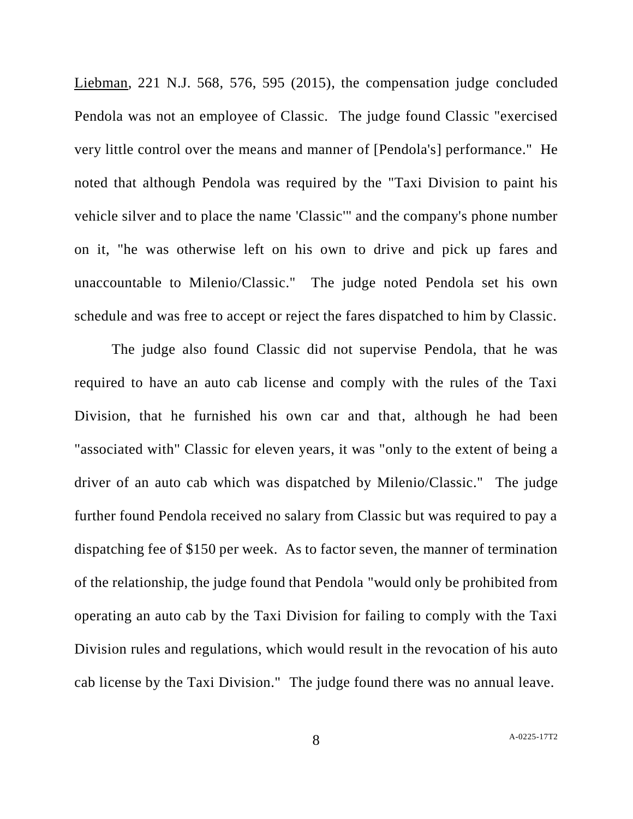Liebman, 221 N.J. 568, 576, 595 (2015), the compensation judge concluded Pendola was not an employee of Classic. The judge found Classic "exercised very little control over the means and manner of [Pendola's] performance." He noted that although Pendola was required by the "Taxi Division to paint his vehicle silver and to place the name 'Classic'" and the company's phone number on it, "he was otherwise left on his own to drive and pick up fares and unaccountable to Milenio/Classic." The judge noted Pendola set his own schedule and was free to accept or reject the fares dispatched to him by Classic.

The judge also found Classic did not supervise Pendola, that he was required to have an auto cab license and comply with the rules of the Taxi Division, that he furnished his own car and that, although he had been "associated with" Classic for eleven years, it was "only to the extent of being a driver of an auto cab which was dispatched by Milenio/Classic." The judge further found Pendola received no salary from Classic but was required to pay a dispatching fee of \$150 per week. As to factor seven, the manner of termination of the relationship, the judge found that Pendola "would only be prohibited from operating an auto cab by the Taxi Division for failing to comply with the Taxi Division rules and regulations, which would result in the revocation of his auto cab license by the Taxi Division." The judge found there was no annual leave.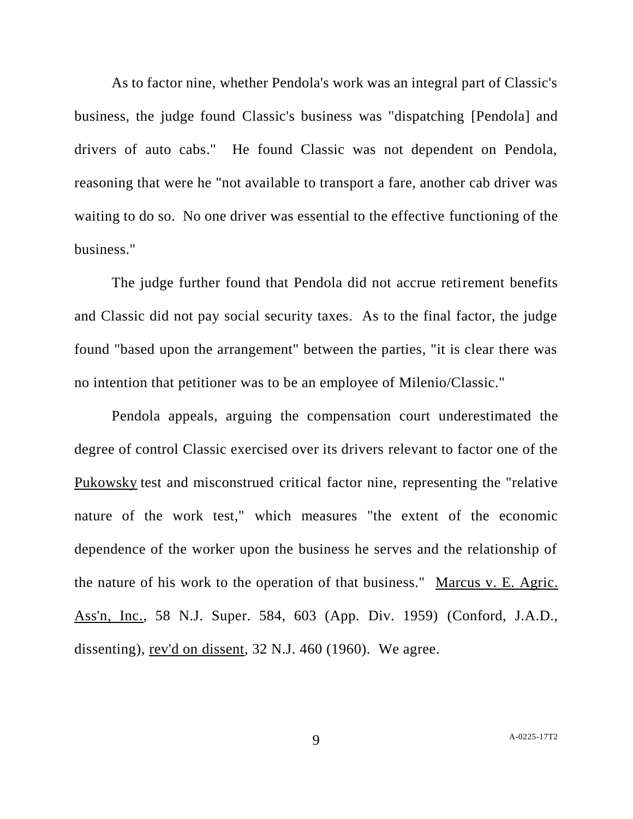As to factor nine, whether Pendola's work was an integral part of Classic's business, the judge found Classic's business was "dispatching [Pendola] and drivers of auto cabs." He found Classic was not dependent on Pendola, reasoning that were he "not available to transport a fare, another cab driver was waiting to do so. No one driver was essential to the effective functioning of the business."

The judge further found that Pendola did not accrue retirement benefits and Classic did not pay social security taxes. As to the final factor, the judge found "based upon the arrangement" between the parties, "it is clear there was no intention that petitioner was to be an employee of Milenio/Classic."

Pendola appeals, arguing the compensation court underestimated the degree of control Classic exercised over its drivers relevant to factor one of the Pukowsky test and misconstrued critical factor nine, representing the "relative nature of the work test," which measures "the extent of the economic dependence of the worker upon the business he serves and the relationship of the nature of his work to the operation of that business." Marcus v. E. Agric. Ass'n, Inc., 58 N.J. Super. 584, 603 (App. Div. 1959) (Conford, J.A.D., dissenting), rev'd on dissent, 32 N.J. 460 (1960). We agree.

9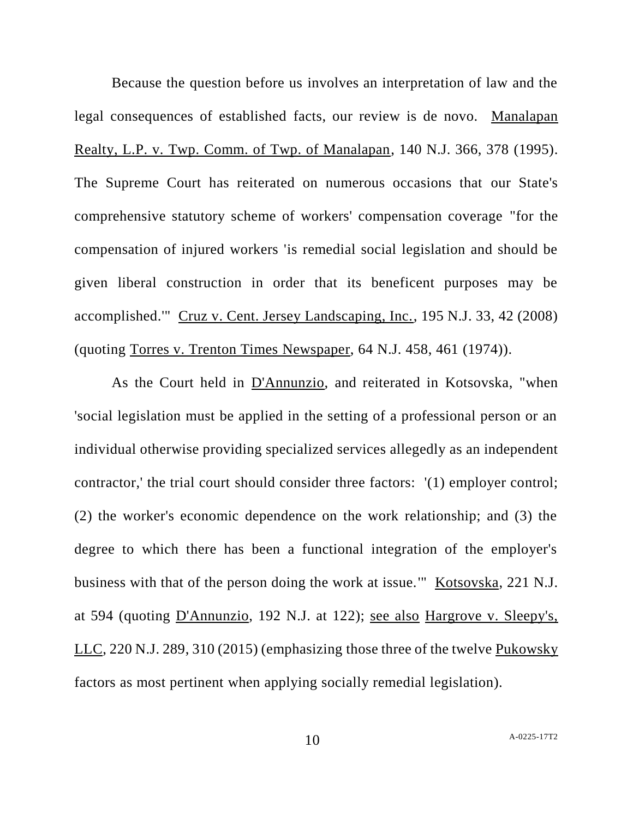Because the question before us involves an interpretation of law and the legal consequences of established facts, our review is de novo. Manalapan Realty, L.P. v. Twp. Comm. of Twp. of Manalapan, 140 N.J. 366, 378 (1995). The Supreme Court has reiterated on numerous occasions that our State's comprehensive statutory scheme of workers' compensation coverage "for the compensation of injured workers 'is remedial social legislation and should be given liberal construction in order that its beneficent purposes may be accomplished.'" Cruz v. Cent. Jersey Landscaping, Inc., 195 N.J. 33, 42 (2008) (quoting Torres v. Trenton Times Newspaper, 64 N.J. 458, 461 (1974)).

As the Court held in D'Annunzio, and reiterated in Kotsovska, "when 'social legislation must be applied in the setting of a professional person or an individual otherwise providing specialized services allegedly as an independent contractor,' the trial court should consider three factors: '(1) employer control; (2) the worker's economic dependence on the work relationship; and (3) the degree to which there has been a functional integration of the employer's business with that of the person doing the work at issue.'" Kotsovska, 221 N.J. at 594 (quoting D'Annunzio, 192 N.J. at 122); see also Hargrove v. Sleepy's, LLC, 220 N.J. 289, 310 (2015) (emphasizing those three of the twelve Pukowsky factors as most pertinent when applying socially remedial legislation).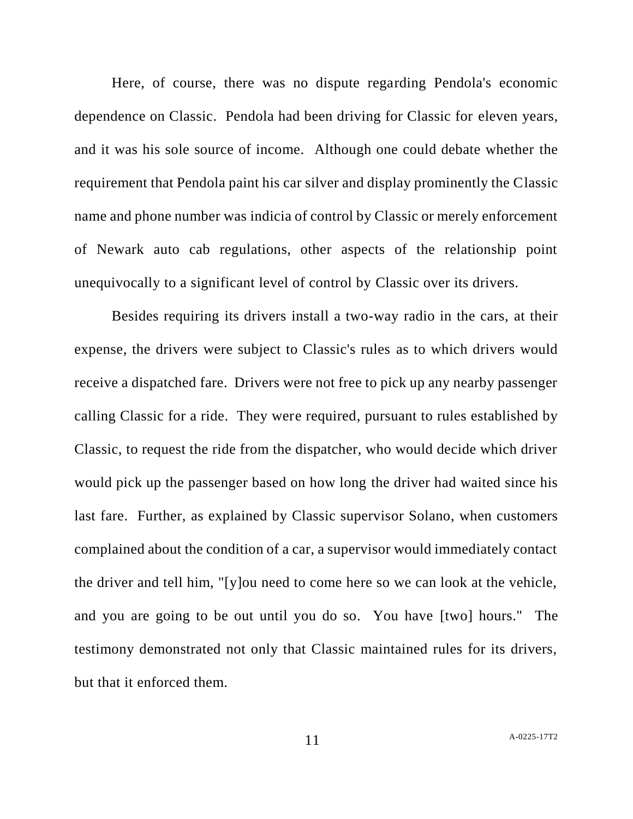Here, of course, there was no dispute regarding Pendola's economic dependence on Classic. Pendola had been driving for Classic for eleven years, and it was his sole source of income. Although one could debate whether the requirement that Pendola paint his car silver and display prominently the Classic name and phone number was indicia of control by Classic or merely enforcement of Newark auto cab regulations, other aspects of the relationship point unequivocally to a significant level of control by Classic over its drivers.

Besides requiring its drivers install a two-way radio in the cars, at their expense, the drivers were subject to Classic's rules as to which drivers would receive a dispatched fare. Drivers were not free to pick up any nearby passenger calling Classic for a ride. They were required, pursuant to rules established by Classic, to request the ride from the dispatcher, who would decide which driver would pick up the passenger based on how long the driver had waited since his last fare. Further, as explained by Classic supervisor Solano, when customers complained about the condition of a car, a supervisor would immediately contact the driver and tell him, "[y]ou need to come here so we can look at the vehicle, and you are going to be out until you do so. You have [two] hours." The testimony demonstrated not only that Classic maintained rules for its drivers, but that it enforced them.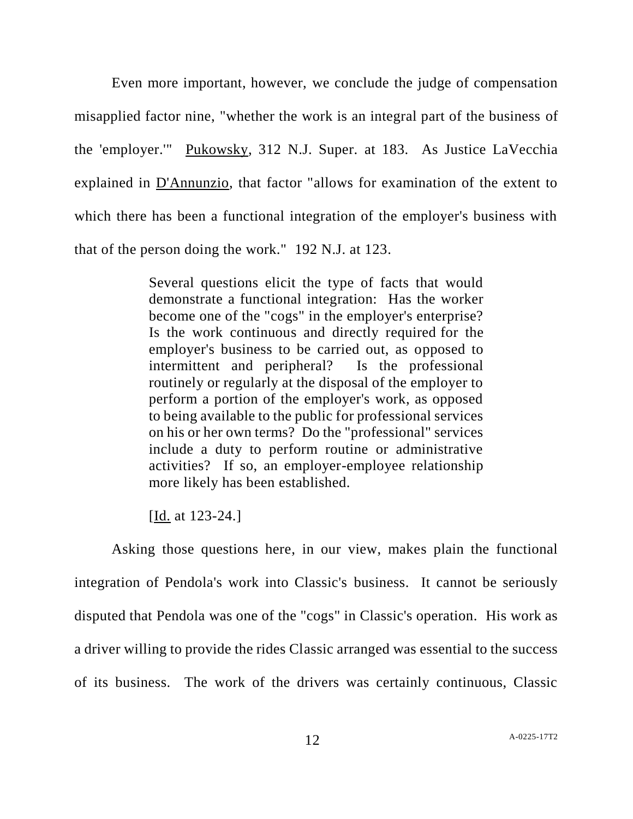Even more important, however, we conclude the judge of compensation misapplied factor nine, "whether the work is an integral part of the business of the 'employer.'" Pukowsky, 312 N.J. Super. at 183. As Justice LaVecchia explained in D'Annunzio, that factor "allows for examination of the extent to which there has been a functional integration of the employer's business with that of the person doing the work." 192 N.J. at 123.

> Several questions elicit the type of facts that would demonstrate a functional integration: Has the worker become one of the "cogs" in the employer's enterprise? Is the work continuous and directly required for the employer's business to be carried out, as opposed to intermittent and peripheral? Is the professional routinely or regularly at the disposal of the employer to perform a portion of the employer's work, as opposed to being available to the public for professional services on his or her own terms? Do the "professional" services include a duty to perform routine or administrative activities? If so, an employer-employee relationship more likely has been established.

[Id. at 123-24.]

Asking those questions here, in our view, makes plain the functional integration of Pendola's work into Classic's business. It cannot be seriously disputed that Pendola was one of the "cogs" in Classic's operation. His work as a driver willing to provide the rides Classic arranged was essential to the success of its business. The work of the drivers was certainly continuous, Classic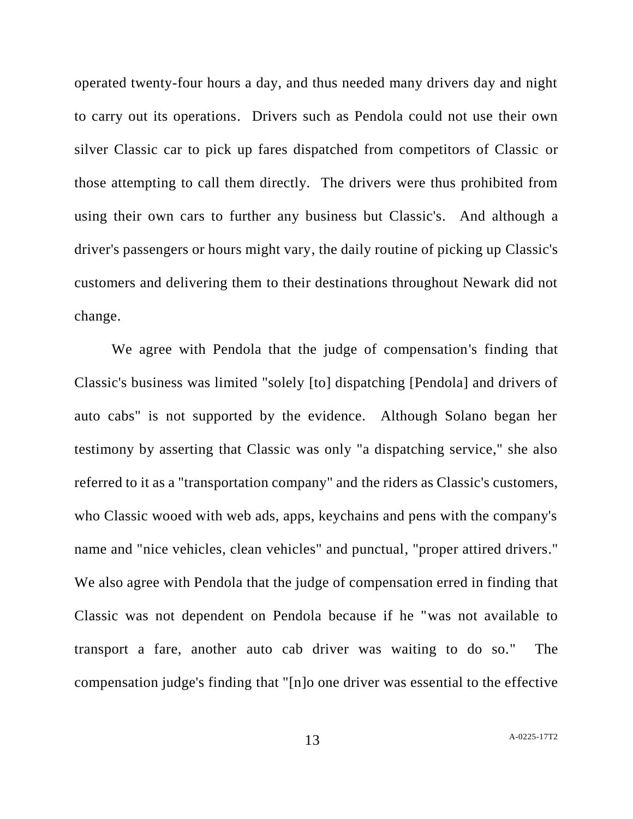operated twenty-four hours a day, and thus needed many drivers day and night to carry out its operations. Drivers such as Pendola could not use their own silver Classic car to pick up fares dispatched from competitors of Classic or those attempting to call them directly. The drivers were thus prohibited from using their own cars to further any business but Classic's. And although a driver's passengers or hours might vary, the daily routine of picking up Classic's customers and delivering them to their destinations throughout Newark did not change.

We agree with Pendola that the judge of compensation's finding that Classic's business was limited "solely [to] dispatching [Pendola] and drivers of auto cabs" is not supported by the evidence. Although Solano began her testimony by asserting that Classic was only "a dispatching service," she also referred to it as a "transportation company" and the riders as Classic's customers, who Classic wooed with web ads, apps, keychains and pens with the company's name and "nice vehicles, clean vehicles" and punctual, "proper attired drivers." We also agree with Pendola that the judge of compensation erred in finding that Classic was not dependent on Pendola because if he "was not available to transport a fare, another auto cab driver was waiting to do so." The compensation judge's finding that "[n]o one driver was essential to the effective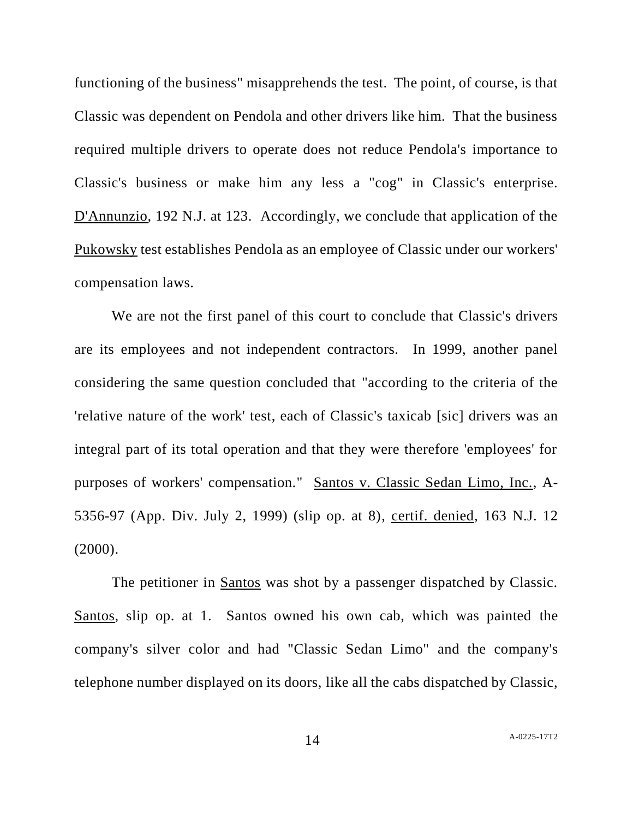functioning of the business" misapprehends the test. The point, of course, is that Classic was dependent on Pendola and other drivers like him. That the business required multiple drivers to operate does not reduce Pendola's importance to Classic's business or make him any less a "cog" in Classic's enterprise. D'Annunzio, 192 N.J. at 123. Accordingly, we conclude that application of the Pukowsky test establishes Pendola as an employee of Classic under our workers' compensation laws.

We are not the first panel of this court to conclude that Classic's drivers are its employees and not independent contractors. In 1999, another panel considering the same question concluded that "according to the criteria of the 'relative nature of the work' test, each of Classic's taxicab [sic] drivers was an integral part of its total operation and that they were therefore 'employees' for purposes of workers' compensation." Santos v. Classic Sedan Limo, Inc., A-5356-97 (App. Div. July 2, 1999) (slip op. at 8), certif. denied, 163 N.J. 12 (2000).

The petitioner in Santos was shot by a passenger dispatched by Classic. Santos, slip op. at 1. Santos owned his own cab, which was painted the company's silver color and had "Classic Sedan Limo" and the company's telephone number displayed on its doors, like all the cabs dispatched by Classic,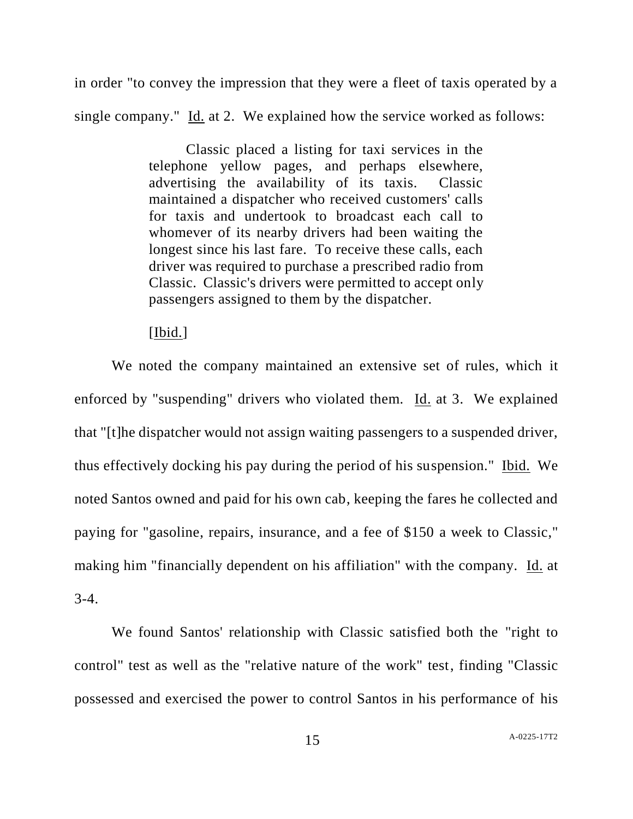in order "to convey the impression that they were a fleet of taxis operated by a single company." Id. at 2. We explained how the service worked as follows:

> Classic placed a listing for taxi services in the telephone yellow pages, and perhaps elsewhere, advertising the availability of its taxis. Classic maintained a dispatcher who received customers' calls for taxis and undertook to broadcast each call to whomever of its nearby drivers had been waiting the longest since his last fare. To receive these calls, each driver was required to purchase a prescribed radio from Classic. Classic's drivers were permitted to accept only passengers assigned to them by the dispatcher.

## [Ibid.]

We noted the company maintained an extensive set of rules, which it enforced by "suspending" drivers who violated them. Id. at 3. We explained that "[t]he dispatcher would not assign waiting passengers to a suspended driver, thus effectively docking his pay during the period of his suspension." Ibid. We noted Santos owned and paid for his own cab, keeping the fares he collected and paying for "gasoline, repairs, insurance, and a fee of \$150 a week to Classic," making him "financially dependent on his affiliation" with the company. Id. at 3-4.

We found Santos' relationship with Classic satisfied both the "right to control" test as well as the "relative nature of the work" test, finding "Classic possessed and exercised the power to control Santos in his performance of his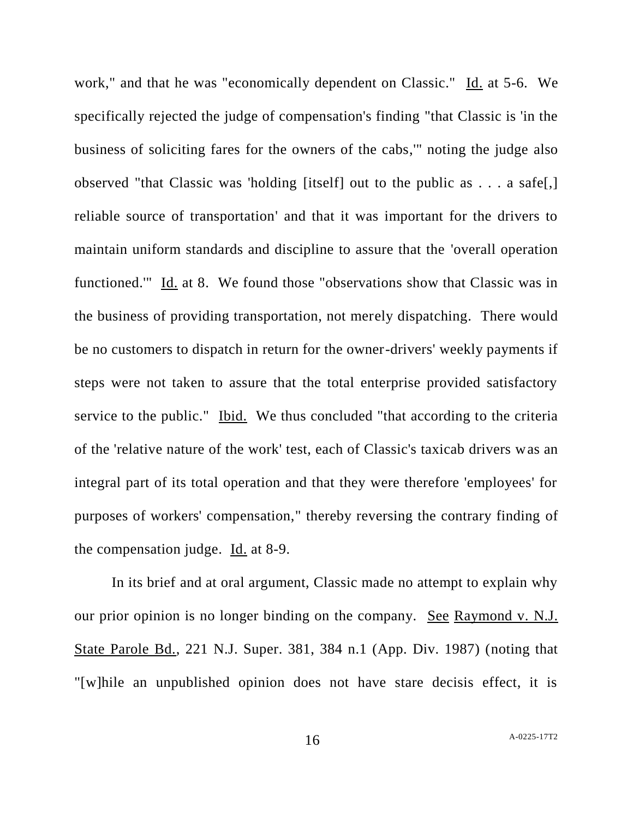work," and that he was "economically dependent on Classic." Id. at 5-6. We specifically rejected the judge of compensation's finding "that Classic is 'in the business of soliciting fares for the owners of the cabs,'" noting the judge also observed "that Classic was 'holding [itself] out to the public as . . . a safe[,] reliable source of transportation' and that it was important for the drivers to maintain uniform standards and discipline to assure that the 'overall operation functioned.'" Id. at 8. We found those "observations show that Classic was in the business of providing transportation, not merely dispatching. There would be no customers to dispatch in return for the owner-drivers' weekly payments if steps were not taken to assure that the total enterprise provided satisfactory service to the public." Ibid. We thus concluded "that according to the criteria of the 'relative nature of the work' test, each of Classic's taxicab drivers was an integral part of its total operation and that they were therefore 'employees' for purposes of workers' compensation," thereby reversing the contrary finding of the compensation judge. Id. at 8-9.

In its brief and at oral argument, Classic made no attempt to explain why our prior opinion is no longer binding on the company. See Raymond v. N.J. State Parole Bd., 221 N.J. Super. 381, 384 n.1 (App. Div. 1987) (noting that "[w]hile an unpublished opinion does not have stare decisis effect, it is